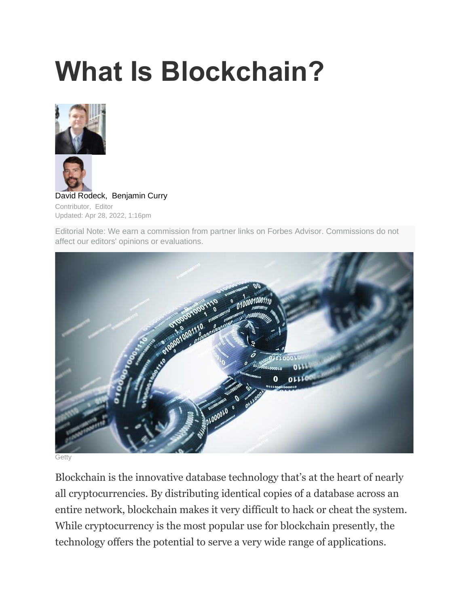# **What Is Blockchain?**



[David Rodeck,](https://www.forbes.com/advisor/author/drodeck/) [Benjamin Curry](https://www.forbes.com/advisor/author/bcurry/) Contributor, Editor Updated: Apr 28, 2022, 1:16pm

Editorial Note: We earn a commission from partner links on Forbes Advisor. Commissions do not affect our editors' opinions or evaluations.



**Getty** 

Blockchain is the innovative database technology that's at the heart of nearly all cryptocurrencies. By distributing identical copies of a database across an entire network, blockchain makes it very difficult to hack or cheat the system. While cryptocurrency is the most popular use for blockchain presently, the technology offers the potential to serve a very wide range of applications.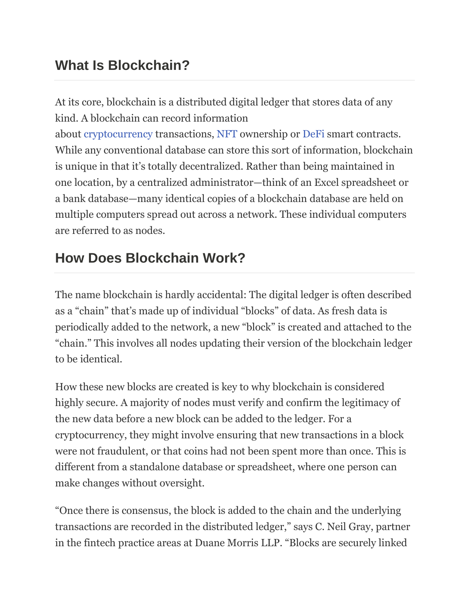# **What Is Blockchain?**

At its core, blockchain is a distributed digital ledger that stores data of any kind. A blockchain can record information

about [cryptocurrency](https://www.forbes.com/advisor/investing/cryptocurrency/what-is-cryptocurrency/) transactions, [NFT](https://www.forbes.com/advisor/investing/cryptocurrency/nft-non-fungible-token/) ownership or [DeFi](https://www.forbes.com/advisor/investing/defi-decentralized-finance/) smart contracts. While any conventional database can store this sort of information, blockchain is unique in that it's totally decentralized. Rather than being maintained in one location, by a centralized administrator—think of an Excel spreadsheet or a bank database—many identical copies of a blockchain database are held on multiple computers spread out across a network. These individual computers are referred to as nodes.

# **How Does Blockchain Work?**

The name blockchain is hardly accidental: The digital ledger is often described as a "chain" that's made up of individual "blocks" of data. As fresh data is periodically added to the network, a new "block" is created and attached to the "chain." This involves all nodes updating their version of the blockchain ledger to be identical.

How these new blocks are created is key to why blockchain is considered highly secure. A majority of nodes must verify and confirm the legitimacy of the new data before a new block can be added to the ledger. For a cryptocurrency, they might involve ensuring that new transactions in a block were not fraudulent, or that coins had not been spent more than once. This is different from a standalone database or spreadsheet, where one person can make changes without oversight.

"Once there is consensus, the block is added to the chain and the underlying transactions are recorded in the distributed ledger," says C. Neil Gray, partner in the fintech practice areas at Duane Morris LLP. "Blocks are securely linked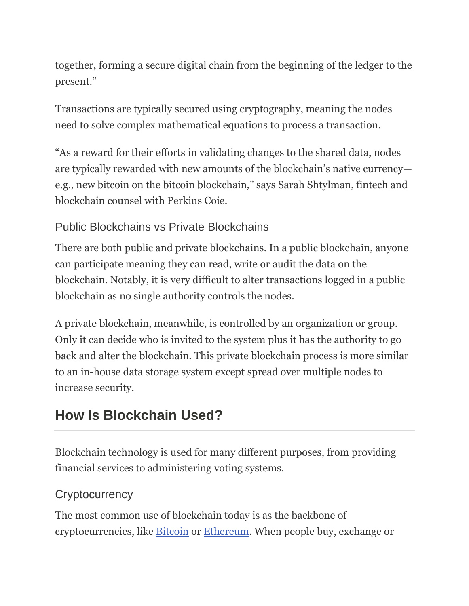together, forming a secure digital chain from the beginning of the ledger to the present."

Transactions are typically secured using cryptography, meaning the nodes need to solve complex mathematical equations to process a transaction.

"As a reward for their efforts in validating changes to the shared data, nodes are typically rewarded with new amounts of the blockchain's native currency e.g., new bitcoin on the bitcoin blockchain," says Sarah Shtylman, fintech and blockchain counsel with Perkins Coie.

#### Public Blockchains vs Private Blockchains

There are both public and private blockchains. In a public blockchain, anyone can participate meaning they can read, write or audit the data on the blockchain. Notably, it is very difficult to alter transactions logged in a public blockchain as no single authority controls the nodes.

A private blockchain, meanwhile, is controlled by an organization or group. Only it can decide who is invited to the system plus it has the authority to go back and alter the blockchain. This private blockchain process is more similar to an in-house data storage system except spread over multiple nodes to increase security.

## **How Is Blockchain Used?**

Blockchain technology is used for many different purposes, from providing financial services to administering voting systems.

#### **Cryptocurrency**

The most common use of blockchain today is as the backbone of cryptocurrencies, like [Bitcoin](https://www.forbes.com/advisor/investing/what-is-bitcoin/) or [Ethereum.](https://www.forbes.com/advisor/investing/cryptocurrency/what-is-ethereum-ether/) When people buy, exchange or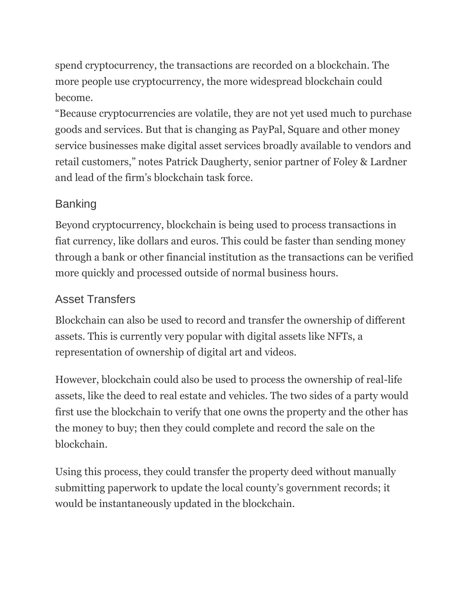spend cryptocurrency, the transactions are recorded on a blockchain. The more people use cryptocurrency, the more widespread blockchain could become.

"Because cryptocurrencies are volatile, they are not yet used much to purchase goods and services. But that is changing as PayPal, Square and other money service businesses make digital asset services broadly available to vendors and retail customers," notes Patrick Daugherty, senior partner of Foley & Lardner and lead of the firm's blockchain task force.

#### Banking

Beyond cryptocurrency, blockchain is being used to process transactions in fiat currency, like dollars and euros. This could be faster than sending money through a bank or other financial institution as the transactions can be verified more quickly and processed outside of normal business hours.

#### Asset Transfers

Blockchain can also be used to record and transfer the ownership of different assets. This is currently very popular with digital assets like NFTs, a representation of ownership of digital art and videos.

However, blockchain could also be used to process the ownership of real-life assets, like the deed to real estate and vehicles. The two sides of a party would first use the blockchain to verify that one owns the property and the other has the money to buy; then they could complete and record the sale on the blockchain.

Using this process, they could transfer the property deed without manually submitting paperwork to update the local county's government records; it would be instantaneously updated in the blockchain.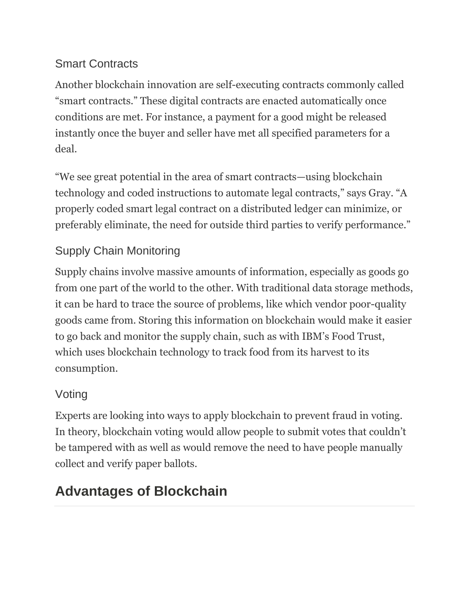#### Smart Contracts

Another blockchain innovation are self-executing contracts commonly called "smart contracts." These digital contracts are enacted automatically once conditions are met. For instance, a payment for a good might be released instantly once the buyer and seller have met all specified parameters for a deal.

"We see great potential in the area of smart contracts—using blockchain technology and coded instructions to automate legal contracts," says Gray. "A properly coded smart legal contract on a distributed ledger can minimize, or preferably eliminate, the need for outside third parties to verify performance."

#### Supply Chain Monitoring

Supply chains involve massive amounts of information, especially as goods go from one part of the world to the other. With traditional data storage methods, it can be hard to trace the source of problems, like which vendor poor-quality goods came from. Storing this information on blockchain would make it easier to go back and monitor the supply chain, such as with IBM's Food Trust, which uses blockchain technology to track food from its harvest to its consumption.

#### Voting

Experts are looking into ways to apply blockchain to prevent fraud in voting. In theory, blockchain voting would allow people to submit votes that couldn't be tampered with as well as would remove the need to have people manually collect and verify paper ballots.

# **Advantages of Blockchain**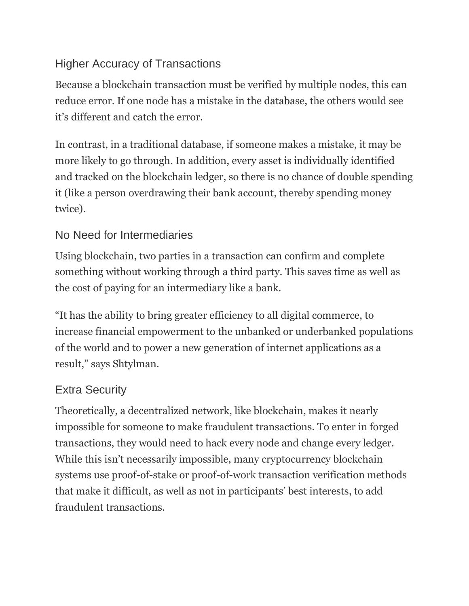#### Higher Accuracy of Transactions

Because a blockchain transaction must be verified by multiple nodes, this can reduce error. If one node has a mistake in the database, the others would see it's different and catch the error.

In contrast, in a traditional database, if someone makes a mistake, it may be more likely to go through. In addition, every asset is individually identified and tracked on the blockchain ledger, so there is no chance of double spending it (like a person overdrawing their bank account, thereby spending money twice).

#### No Need for Intermediaries

Using blockchain, two parties in a transaction can confirm and complete something without working through a third party. This saves time as well as the cost of paying for an intermediary like a bank.

"It has the ability to bring greater efficiency to all digital commerce, to increase financial empowerment to the unbanked or underbanked populations of the world and to power a new generation of internet applications as a result," says Shtylman.

#### Extra Security

Theoretically, a decentralized network, like blockchain, makes it nearly impossible for someone to make fraudulent transactions. To enter in forged transactions, they would need to hack every node and change every ledger. While this isn't necessarily impossible, many cryptocurrency blockchain systems use proof-of-stake or proof-of-work transaction verification methods that make it difficult, as well as not in participants' best interests, to add fraudulent transactions.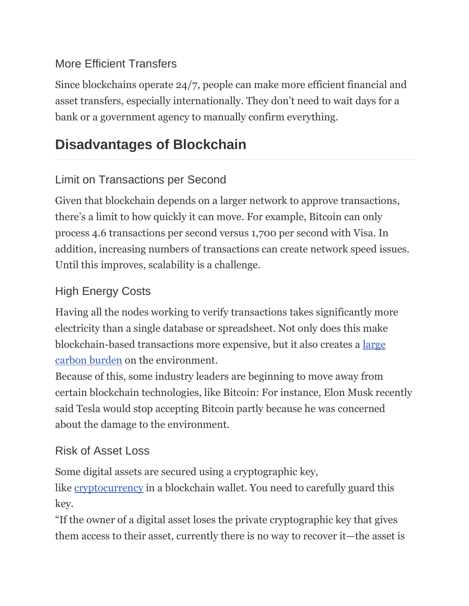#### More Efficient Transfers

Since blockchains operate 24/7, people can make more efficient financial and asset transfers, especially internationally. They don't need to wait days for a bank or a government agency to manually confirm everything.

# **Disadvantages of Blockchain**

#### Limit on Transactions per Second

Given that blockchain depends on a larger network to approve transactions, there's a limit to how quickly it can move. For example, Bitcoin can only process 4.6 transactions per second versus 1,700 per second with Visa. In addition, increasing numbers of transactions can create network speed issues. Until this improves, scalability is a challenge.

#### High Energy Costs

Having all the nodes working to verify transactions takes significantly more electricity than a single database or spreadsheet. Not only does this make blockchain-based transactions more expensive, but it also creates a [large](https://www.forbes.com/advisor/investing/cryptocurrency/bitcoins-energy-usage-explained/)  [carbon burden](https://www.forbes.com/advisor/investing/cryptocurrency/bitcoins-energy-usage-explained/) on the environment.

Because of this, some industry leaders are beginning to move away from certain blockchain technologies, like Bitcoin: For instance, Elon Musk recently said Tesla would stop accepting Bitcoin partly because he was concerned about the damage to the environment.

#### Risk of Asset Loss

Some digital assets are secured using a cryptographic key,

like <u>[cryptocurrency](https://www.forbes.com/advisor/investing/cryptocurrency/what-is-cryptocurrency/)</u> in a blockchain wallet. You need to carefully guard this key.

"If the owner of a digital asset loses the private cryptographic key that gives them access to their asset, currently there is no way to recover it—the asset is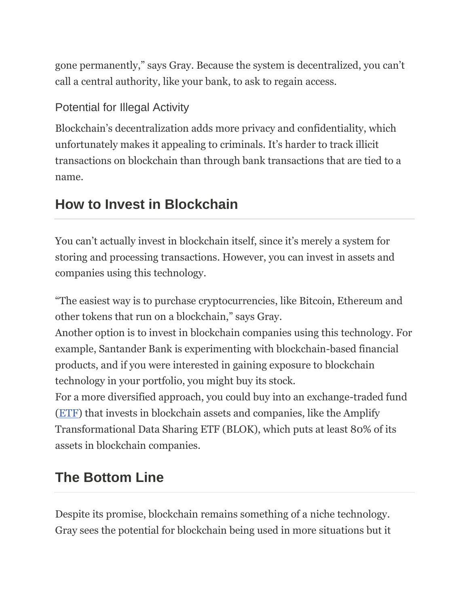gone permanently," says Gray. Because the system is decentralized, you can't call a central authority, like your bank, to ask to regain access.

#### Potential for Illegal Activity

Blockchain's decentralization adds more privacy and confidentiality, which unfortunately makes it appealing to criminals. It's harder to track illicit transactions on blockchain than through bank transactions that are tied to a name.

## **How to Invest in Blockchain**

You can't actually invest in blockchain itself, since it's merely a system for storing and processing transactions. However, you can invest in assets and companies using this technology.

"The easiest way is to purchase cryptocurrencies, like Bitcoin, Ethereum and other tokens that run on a blockchain," says Gray.

Another option is to invest in blockchain companies using this technology. For example, Santander Bank is experimenting with blockchain-based financial products, and if you were interested in gaining exposure to blockchain technology in your portfolio, you might buy its stock.

For a more diversified approach, you could buy into an exchange-traded fund [\(ETF\)](https://www.forbes.com/advisor/investing/what-are-etfs/) that invests in blockchain assets and companies, like the Amplify Transformational Data Sharing ETF (BLOK), which puts at least 80% of its assets in blockchain companies.

# **The Bottom Line**

Despite its promise, blockchain remains something of a niche technology. Gray sees the potential for blockchain being used in more situations but it